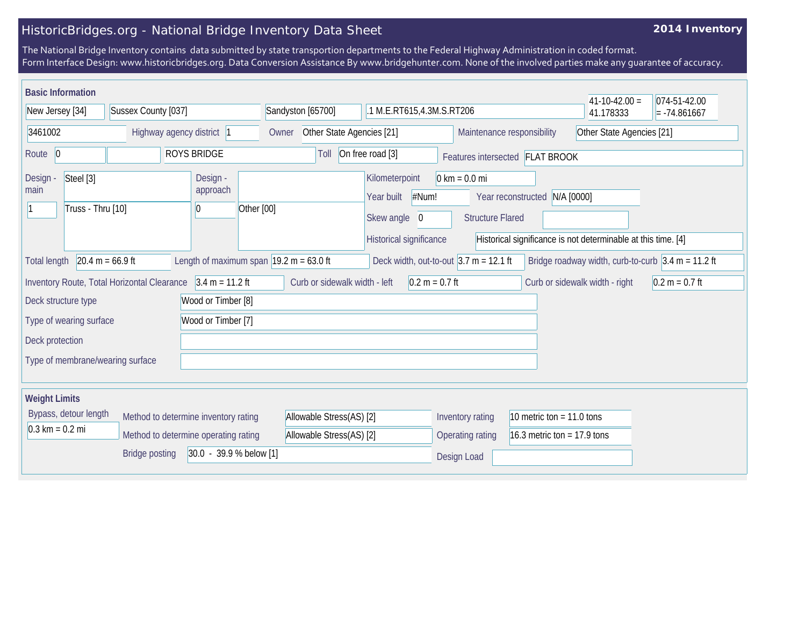## HistoricBridges.org - National Bridge Inventory Data Sheet

## **2014 Inventory**

The National Bridge Inventory contains data submitted by state transportion departments to the Federal Highway Administration in coded format. Form Interface Design: www.historicbridges.org. Data Conversion Assistance By www.bridgehunter.com. None of the involved parties make any guarantee of accuracy.

| <b>Basic Information</b>                                                  |                                             |                                                             |                                                     |                                                                     |                                                            |                               | $41 - 10 - 42.00 =$                                                    | 074-51-42.00              |  |
|---------------------------------------------------------------------------|---------------------------------------------|-------------------------------------------------------------|-----------------------------------------------------|---------------------------------------------------------------------|------------------------------------------------------------|-------------------------------|------------------------------------------------------------------------|---------------------------|--|
| Sussex County [037]<br>New Jersey [34]                                    |                                             |                                                             | Sandyston [65700]                                   | .1 M.E.RT615,4.3M.S.RT206                                           |                                                            |                               | 41.178333                                                              | $= -74.861667$            |  |
| 3461002<br>Highway agency district 1                                      |                                             |                                                             | Other State Agencies [21]<br>Owner                  |                                                                     | Maintenance responsibility                                 |                               |                                                                        | Other State Agencies [21] |  |
| <b>ROYS BRIDGE</b><br>Route 0                                             |                                             | Toll                                                        | On free road [3]<br>Features intersected FLAT BROOK |                                                                     |                                                            |                               |                                                                        |                           |  |
| Steel [3]<br>Design -<br>main<br>Truss - Thru [10]                        |                                             | Design -<br>approach<br>Other [00]<br>10                    |                                                     | Kilometerpoint<br>#Num!<br>Year built<br>Skew angle<br>$\mathbf 0$  | $0 \text{ km} = 0.0 \text{ mi}$<br><b>Structure Flared</b> | Year reconstructed N/A [0000] | Historical significance is not determinable at this time. [4]          |                           |  |
| <b>Total length</b>                                                       | $20.4 m = 66.9 ft$                          | Length of maximum span $ 19.2 \text{ m} = 63.0 \text{ ft} $ |                                                     | Historical significance<br>Deck width, out-to-out $3.7$ m = 12.1 ft |                                                            |                               | Bridge roadway width, curb-to-curb $ 3.4 \text{ m} = 11.2 \text{ ft} $ |                           |  |
|                                                                           | Inventory Route, Total Horizontal Clearance | $3.4 m = 11.2 ft$                                           | Curb or sidewalk width - left                       | $0.2 m = 0.7 ft$                                                    |                                                            |                               | Curb or sidewalk width - right                                         | $0.2 m = 0.7 ft$          |  |
| Deck structure type                                                       |                                             | Wood or Timber [8]                                          |                                                     |                                                                     |                                                            |                               |                                                                        |                           |  |
| Type of wearing surface                                                   |                                             | Wood or Timber [7]                                          |                                                     |                                                                     |                                                            |                               |                                                                        |                           |  |
| Deck protection                                                           |                                             |                                                             |                                                     |                                                                     |                                                            |                               |                                                                        |                           |  |
| Type of membrane/wearing surface                                          |                                             |                                                             |                                                     |                                                                     |                                                            |                               |                                                                        |                           |  |
| <b>Weight Limits</b>                                                      |                                             |                                                             |                                                     |                                                                     |                                                            |                               |                                                                        |                           |  |
| Bypass, detour length<br>Method to determine inventory rating             |                                             | Allowable Stress(AS) [2]                                    |                                                     | Inventory rating                                                    | 10 metric ton = $11.0$ tons                                |                               |                                                                        |                           |  |
| $0.3 \text{ km} = 0.2 \text{ mi}$<br>Method to determine operating rating |                                             | Allowable Stress(AS) [2]                                    |                                                     | <b>Operating rating</b>                                             | 16.3 metric ton = $17.9$ tons                              |                               |                                                                        |                           |  |
| 30.0 - 39.9 % below [1]<br><b>Bridge posting</b>                          |                                             |                                                             |                                                     |                                                                     | Design Load                                                |                               |                                                                        |                           |  |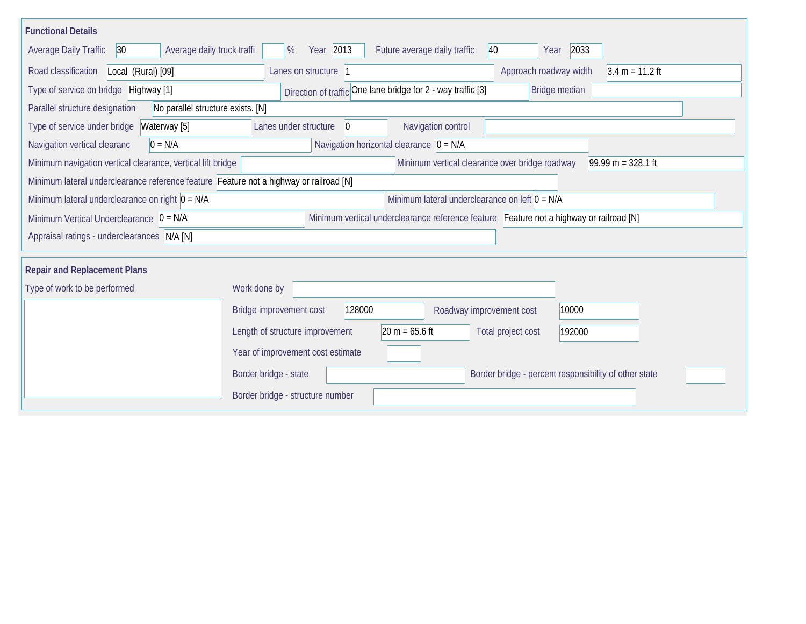| <b>Functional Details</b>                                                                                                             |                                                                                         |  |  |  |  |  |  |  |  |
|---------------------------------------------------------------------------------------------------------------------------------------|-----------------------------------------------------------------------------------------|--|--|--|--|--|--|--|--|
| 30 <br>Average daily truck traffi<br><b>Average Daily Traffic</b>                                                                     | Year 2013<br>Future average daily traffic<br>40<br>2033<br>$\%$<br>Year                 |  |  |  |  |  |  |  |  |
| Road classification<br>Local (Rural) [09]                                                                                             | Approach roadway width<br>$3.4 m = 11.2 ft$<br>Lanes on structure 1                     |  |  |  |  |  |  |  |  |
| Type of service on bridge Highway [1]                                                                                                 | Direction of traffic One lane bridge for 2 - way traffic [3]<br>Bridge median           |  |  |  |  |  |  |  |  |
| Parallel structure designation<br>No parallel structure exists. [N]                                                                   |                                                                                         |  |  |  |  |  |  |  |  |
| Type of service under bridge<br>Waterway [5]                                                                                          | Navigation control<br>Lanes under structure<br>$\Omega$                                 |  |  |  |  |  |  |  |  |
| $0 = N/A$<br>Navigation vertical clearanc                                                                                             | Navigation horizontal clearance $ 0 = N/A$                                              |  |  |  |  |  |  |  |  |
| Minimum navigation vertical clearance, vertical lift bridge<br>Minimum vertical clearance over bridge roadway<br>$99.99 m = 328.1 ft$ |                                                                                         |  |  |  |  |  |  |  |  |
| Minimum lateral underclearance reference feature Feature not a highway or railroad [N]                                                |                                                                                         |  |  |  |  |  |  |  |  |
| Minimum lateral underclearance on left $0 = N/A$<br>Minimum lateral underclearance on right $0 = N/A$                                 |                                                                                         |  |  |  |  |  |  |  |  |
| Minimum Vertical Underclearance $ 0 = N/A $                                                                                           | Minimum vertical underclearance reference feature Feature not a highway or railroad [N] |  |  |  |  |  |  |  |  |
| Appraisal ratings - underclearances N/A [N]                                                                                           |                                                                                         |  |  |  |  |  |  |  |  |
|                                                                                                                                       |                                                                                         |  |  |  |  |  |  |  |  |
| <b>Repair and Replacement Plans</b>                                                                                                   |                                                                                         |  |  |  |  |  |  |  |  |
| Type of work to be performed                                                                                                          | Work done by                                                                            |  |  |  |  |  |  |  |  |
|                                                                                                                                       | Bridge improvement cost<br>128000<br>10000<br>Roadway improvement cost                  |  |  |  |  |  |  |  |  |
|                                                                                                                                       | $20 m = 65.6 ft$<br>Length of structure improvement<br>Total project cost<br>192000     |  |  |  |  |  |  |  |  |
|                                                                                                                                       | Year of improvement cost estimate                                                       |  |  |  |  |  |  |  |  |
|                                                                                                                                       | Border bridge - state<br>Border bridge - percent responsibility of other state          |  |  |  |  |  |  |  |  |
|                                                                                                                                       | Border bridge - structure number                                                        |  |  |  |  |  |  |  |  |